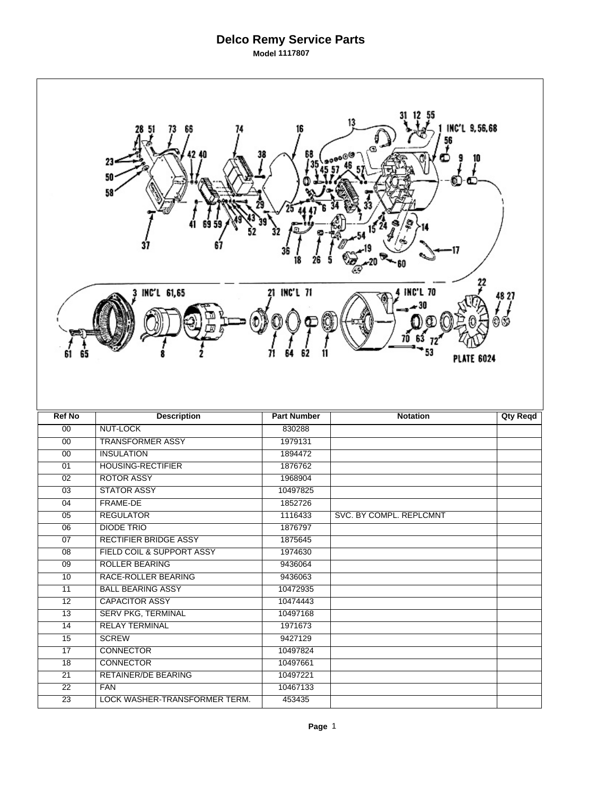## **Delco Remy Service Parts Model 1117807**

 $\Gamma$ 

| 13<br>INC'L 9,56,68<br>68<br>23<br>50<br>58                                         |                                                    |                    |                         |                 |  |  |  |  |
|-------------------------------------------------------------------------------------|----------------------------------------------------|--------------------|-------------------------|-----------------|--|--|--|--|
| 21 INC'L 71<br><b>INC'L 70</b><br>3 INC'L 61,65<br>48 27<br>61<br><b>PLATE 6024</b> |                                                    |                    |                         |                 |  |  |  |  |
|                                                                                     |                                                    |                    |                         |                 |  |  |  |  |
| <b>Ref No</b>                                                                       | <b>Description</b>                                 | <b>Part Number</b> | <b>Notation</b>         | <b>Qty Reqd</b> |  |  |  |  |
| 00                                                                                  | <b>NUT-LOCK</b>                                    | 830288             |                         |                 |  |  |  |  |
| 00                                                                                  | <b>TRANSFORMER ASSY</b>                            | 1979131            |                         |                 |  |  |  |  |
| $\overline{00}$                                                                     | <b>INSULATION</b>                                  | 1894472            |                         |                 |  |  |  |  |
| 01                                                                                  | <b>HOUSING-RECTIFIER</b>                           | 1876762            |                         |                 |  |  |  |  |
| 02                                                                                  | <b>ROTOR ASSY</b>                                  | 1968904            |                         |                 |  |  |  |  |
| $\overline{03}$                                                                     | <b>STATOR ASSY</b>                                 | 10497825           |                         |                 |  |  |  |  |
| 04                                                                                  | FRAME-DE                                           | 1852726            |                         |                 |  |  |  |  |
| 05                                                                                  | <b>REGULATOR</b>                                   | 1116433            | SVC. BY COMPL. REPLCMNT |                 |  |  |  |  |
| $\overline{06}$                                                                     | <b>DIODE TRIO</b><br>RECTIFIER BRIDGE ASSY         | 1876797<br>1875645 |                         |                 |  |  |  |  |
| 07                                                                                  | FIELD COIL & SUPPORT ASSY                          |                    |                         |                 |  |  |  |  |
| $\overline{08}$                                                                     | <b>ROLLER BEARING</b>                              | 1974630            |                         |                 |  |  |  |  |
| $\overline{09}$<br>10                                                               | RACE-ROLLER BEARING                                | 9436064<br>9436063 |                         |                 |  |  |  |  |
| $\overline{11}$                                                                     | <b>BALL BEARING ASSY</b>                           | 10472935           |                         |                 |  |  |  |  |
| $\overline{12}$                                                                     | <b>CAPACITOR ASSY</b>                              | 10474443           |                         |                 |  |  |  |  |
| 13                                                                                  |                                                    | 10497168           |                         |                 |  |  |  |  |
| $\overline{14}$                                                                     | <b>SERV PKG, TERMINAL</b><br><b>RELAY TERMINAL</b> | 1971673            |                         |                 |  |  |  |  |
| $\overline{15}$                                                                     | <b>SCREW</b>                                       | 9427129            |                         |                 |  |  |  |  |
| 17                                                                                  | <b>CONNECTOR</b>                                   | 10497824           |                         |                 |  |  |  |  |
| 18                                                                                  | <b>CONNECTOR</b>                                   | 10497661           |                         |                 |  |  |  |  |
| $\overline{21}$                                                                     | <b>RETAINER/DE BEARING</b>                         | 10497221           |                         |                 |  |  |  |  |
| 22                                                                                  | <b>FAN</b>                                         | 10467133           |                         |                 |  |  |  |  |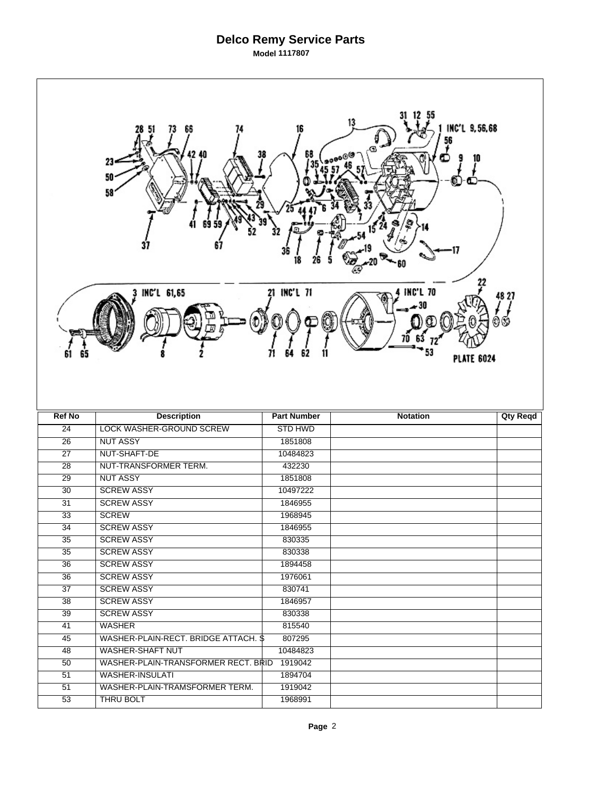## **Delco Remy Service Parts Model 1117807**

 $\Gamma$ 

| 13<br>INC'L 9,56,68<br>68<br>38<br>23<br>50<br>58<br>36<br>18<br>21 INC'L 71<br><b>INC'L 70</b><br>3 INC'L 61,65<br>48 27 |                                             |                     |                   |                 |  |  |  |  |
|---------------------------------------------------------------------------------------------------------------------------|---------------------------------------------|---------------------|-------------------|-----------------|--|--|--|--|
| 61                                                                                                                        |                                             |                     | <b>PLATE 6024</b> |                 |  |  |  |  |
|                                                                                                                           |                                             |                     |                   |                 |  |  |  |  |
| <b>Ref No</b>                                                                                                             | <b>Description</b>                          | <b>Part Number</b>  | <b>Notation</b>   | <b>Qty Reqd</b> |  |  |  |  |
| $\overline{24}$                                                                                                           | <b>LOCK WASHER-GROUND SCREW</b>             | <b>STD HWD</b>      |                   |                 |  |  |  |  |
| $\overline{26}$<br>$\overline{27}$                                                                                        | <b>NUT ASSY</b>                             | 1851808             |                   |                 |  |  |  |  |
|                                                                                                                           | NUT-SHAFT-DE                                | 10484823            |                   |                 |  |  |  |  |
| $\overline{28}$                                                                                                           | NUT-TRANSFORMER TERM.                       | 432230              |                   |                 |  |  |  |  |
| 29<br>30                                                                                                                  | <b>NUT ASSY</b><br><b>SCREW ASSY</b>        | 1851808<br>10497222 |                   |                 |  |  |  |  |
| $\overline{31}$                                                                                                           | <b>SCREW ASSY</b>                           | 1846955             |                   |                 |  |  |  |  |
| 33                                                                                                                        | <b>SCREW</b>                                | 1968945             |                   |                 |  |  |  |  |
| $\overline{34}$                                                                                                           | <b>SCREW ASSY</b>                           | 1846955             |                   |                 |  |  |  |  |
| 35                                                                                                                        | <b>SCREW ASSY</b>                           | 830335              |                   |                 |  |  |  |  |
| 35                                                                                                                        | <b>SCREW ASSY</b>                           | 830338              |                   |                 |  |  |  |  |
| 36                                                                                                                        | <b>SCREW ASSY</b>                           | 1894458             |                   |                 |  |  |  |  |
| 36                                                                                                                        | <b>SCREW ASSY</b>                           | 1976061             |                   |                 |  |  |  |  |
| 37                                                                                                                        | <b>SCREW ASSY</b>                           | 830741              |                   |                 |  |  |  |  |
| 38                                                                                                                        | <b>SCREW ASSY</b>                           | 1846957             |                   |                 |  |  |  |  |
| 39                                                                                                                        | <b>SCREW ASSY</b>                           | 830338              |                   |                 |  |  |  |  |
| $\overline{41}$                                                                                                           | <b>WASHER</b>                               | 815540              |                   |                 |  |  |  |  |
| 45                                                                                                                        | WASHER-PLAIN-RECT. BRIDGE ATTACH. \$        | 807295              |                   |                 |  |  |  |  |
| 48                                                                                                                        | WASHER-SHAFT NUT                            | 10484823            |                   |                 |  |  |  |  |
| 50                                                                                                                        | WASHER-PLAIN-TRANSFORMER RECT. BRID 1919042 |                     |                   |                 |  |  |  |  |
| 51                                                                                                                        | <b>WASHER-INSULATI</b>                      | 1894704             |                   |                 |  |  |  |  |
| 51                                                                                                                        | WASHER-PLAIN-TRAMSFORMER TERM.<br>THRU BOLT | 1919042<br>1968991  |                   |                 |  |  |  |  |